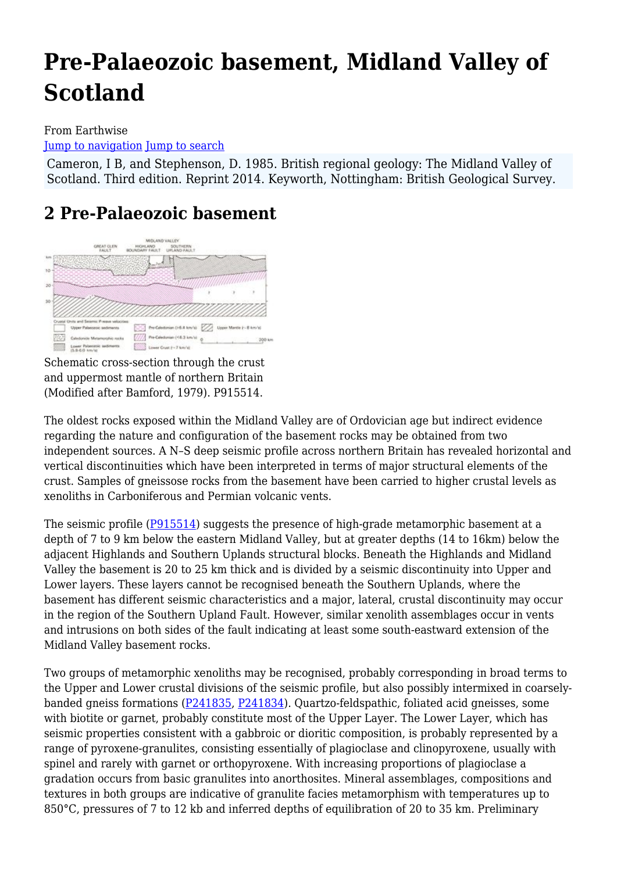# **Pre-Palaeozoic basement, Midland Valley of Scotland**

#### From Earthwise [Jump to navigation](#page--1-0) [Jump to search](#page--1-0)

Cameron, I B, and Stephenson, D. 1985. British regional geology: The Midland Valley of Scotland. Third edition. Reprint 2014. Keyworth, Nottingham: British Geological Survey.

# **2 Pre-Palaeozoic basement**



Schematic cross-section through the crust and uppermost mantle of northern Britain (Modified after Bamford, 1979). P915514.

The oldest rocks exposed within the Midland Valley are of Ordovician age but indirect evidence regarding the nature and configuration of the basement rocks may be obtained from two independent sources. A N–S deep seismic profile across northern Britain has revealed horizontal and vertical discontinuities which have been interpreted in terms of major structural elements of the crust. Samples of gneissose rocks from the basement have been carried to higher crustal levels as xenoliths in Carboniferous and Permian volcanic vents.

The seismic profile ([P915514](http://earthwise.bgs.ac.uk/images/d/df/P915514.jpg)) suggests the presence of high-grade metamorphic basement at a depth of 7 to 9 km below the eastern Midland Valley, but at greater depths (14 to 16km) below the adjacent Highlands and Southern Uplands structural blocks. Beneath the Highlands and Midland Valley the basement is 20 to 25 km thick and is divided by a seismic discontinuity into Upper and Lower layers. These layers cannot be recognised beneath the Southern Uplands, where the basement has different seismic characteristics and a major, lateral, crustal discontinuity may occur in the region of the Southern Upland Fault. However, similar xenolith assemblages occur in vents and intrusions on both sides of the fault indicating at least some south-eastward extension of the Midland Valley basement rocks.

Two groups of metamorphic xenoliths may be recognised, probably corresponding in broad terms to the Upper and Lower crustal divisions of the seismic profile, but also possibly intermixed in coarselybanded gneiss formations [\(P241835](http://earthwise.bgs.ac.uk/index.php?title=Special:Upload&wpDestFile=P241835.jpg), [P241834](http://earthwise.bgs.ac.uk/index.php?title=Special:Upload&wpDestFile=P241834.jpg)). Quartzo-feldspathic, foliated acid gneisses, some with biotite or garnet, probably constitute most of the Upper Layer. The Lower Layer, which has seismic properties consistent with a gabbroic or dioritic composition, is probably represented by a range of pyroxene-granulites, consisting essentially of plagioclase and clinopyroxene, usually with spinel and rarely with garnet or orthopyroxene. With increasing proportions of plagioclase a gradation occurs from basic granulites into anorthosites. Mineral assemblages, compositions and textures in both groups are indicative of granulite facies metamorphism with temperatures up to 850°C, pressures of 7 to 12 kb and inferred depths of equilibration of 20 to 35 km. Preliminary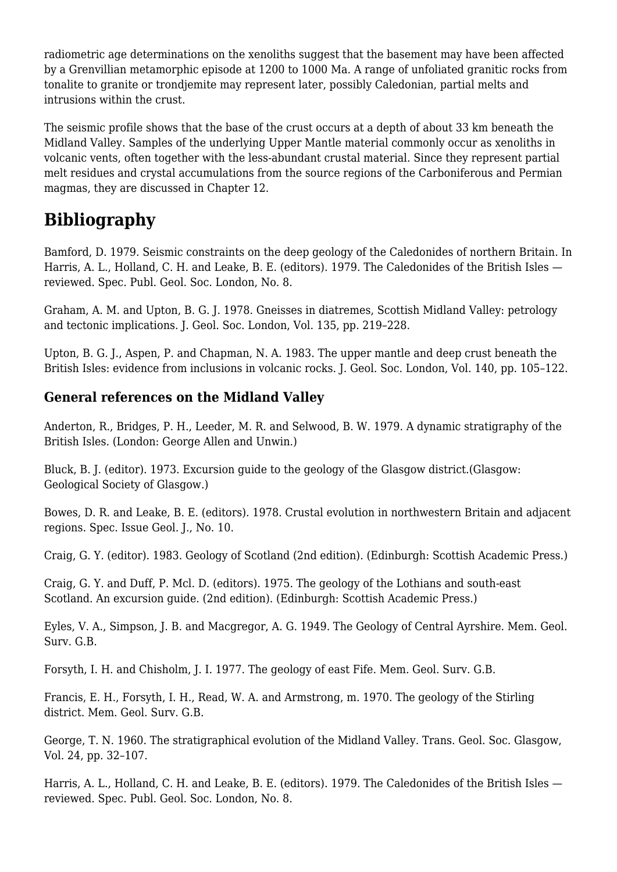radiometric age determinations on the xenoliths suggest that the basement may have been affected by a Grenvillian metamorphic episode at 1200 to 1000 Ma. A range of unfoliated granitic rocks from tonalite to granite or trondjemite may represent later, possibly Caledonian, partial melts and intrusions within the crust.

The seismic profile shows that the base of the crust occurs at a depth of about 33 km beneath the Midland Valley. Samples of the underlying Upper Mantle material commonly occur as xenoliths in volcanic vents, often together with the less-abundant crustal material. Since they represent partial melt residues and crystal accumulations from the source regions of the Carboniferous and Permian magmas, they are discussed in Chapter 12.

# **Bibliography**

Bamford, D. 1979. Seismic constraints on the deep geology of the Caledonides of northern Britain. In Harris, A. L., Holland, C. H. and Leake, B. E. (editors). 1979. The Caledonides of the British Isles reviewed. Spec. Publ. Geol. Soc. London, No. 8.

Graham, A. M. and Upton, B. G. J. 1978. Gneisses in diatremes, Scottish Midland Valley: petrology and tectonic implications. J. Geol. Soc. London, Vol. 135, pp. 219–228.

Upton, B. G. J., Aspen, P. and Chapman, N. A. 1983. The upper mantle and deep crust beneath the British Isles: evidence from inclusions in volcanic rocks. J. Geol. Soc. London, Vol. 140, pp. 105–122.

#### **General references on the Midland Valley**

Anderton, R., Bridges, P. H., Leeder, M. R. and Selwood, B. W. 1979. A dynamic stratigraphy of the British Isles. (London: George Allen and Unwin.)

Bluck, B. J. (editor). 1973. Excursion guide to the geology of the Glasgow district.(Glasgow: Geological Society of Glasgow.)

Bowes, D. R. and Leake, B. E. (editors). 1978. Crustal evolution in northwestern Britain and adjacent regions. Spec. Issue Geol. J., No. 10.

Craig, G. Y. (editor). 1983. Geology of Scotland (2nd edition). (Edinburgh: Scottish Academic Press.)

Craig, G. Y. and Duff, P. Mcl. D. (editors). 1975. The geology of the Lothians and south-east Scotland. An excursion guide. (2nd edition). (Edinburgh: Scottish Academic Press.)

Eyles, V. A., Simpson, J. B. and Macgregor, A. G. 1949. The Geology of Central Ayrshire. Mem. Geol. Surv. G.B.

Forsyth, I. H. and Chisholm, J. I. 1977. The geology of east Fife. Mem. Geol. Surv. G.B.

Francis, E. H., Forsyth, I. H., Read, W. A. and Armstrong, m. 1970. The geology of the Stirling district. Mem. Geol. Surv. G.B.

George, T. N. 1960. The stratigraphical evolution of the Midland Valley. Trans. Geol. Soc. Glasgow, Vol. 24, pp. 32–107.

Harris, A. L., Holland, C. H. and Leake, B. E. (editors). 1979. The Caledonides of the British Isles reviewed. Spec. Publ. Geol. Soc. London, No. 8.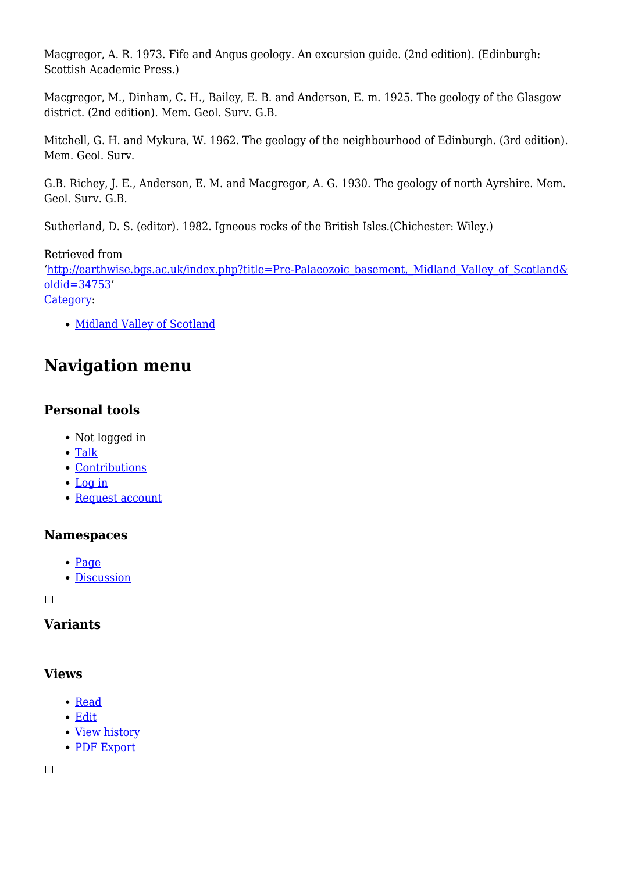Macgregor, A. R. 1973. Fife and Angus geology. An excursion guide. (2nd edition). (Edinburgh: Scottish Academic Press.)

Macgregor, M., Dinham, C. H., Bailey, E. B. and Anderson, E. m. 1925. The geology of the Glasgow district. (2nd edition). Mem. Geol. Surv. G.B.

Mitchell, G. H. and Mykura, W. 1962. The geology of the neighbourhood of Edinburgh. (3rd edition). Mem. Geol. Surv.

G.B. Richey, J. E., Anderson, E. M. and Macgregor, A. G. 1930. The geology of north Ayrshire. Mem. Geol. Surv. G.B.

Sutherland, D. S. (editor). 1982. Igneous rocks of the British Isles.(Chichester: Wiley.)

Retrieved from '[http://earthwise.bgs.ac.uk/index.php?title=Pre-Palaeozoic\\_basement,\\_Midland\\_Valley\\_of\\_Scotland&](http://earthwise.bgs.ac.uk/index.php?title=Pre-Palaeozoic_basement,_Midland_Valley_of_Scotland&oldid=34753) [oldid=34753](http://earthwise.bgs.ac.uk/index.php?title=Pre-Palaeozoic_basement,_Midland_Valley_of_Scotland&oldid=34753)' [Category](http://earthwise.bgs.ac.uk/index.php/Special:Categories):

• [Midland Valley of Scotland](http://earthwise.bgs.ac.uk/index.php/Category:Midland_Valley_of_Scotland)

# **Navigation menu**

## **Personal tools**

- Not logged in
- [Talk](http://earthwise.bgs.ac.uk/index.php/Special:MyTalk)
- [Contributions](http://earthwise.bgs.ac.uk/index.php/Special:MyContributions)
- [Log in](http://earthwise.bgs.ac.uk/index.php?title=Special:UserLogin&returnto=Pre-Palaeozoic+basement%2C+Midland+Valley+of+Scotland&returntoquery=action%3Dmpdf)
- [Request account](http://earthwise.bgs.ac.uk/index.php/Special:RequestAccount)

#### **Namespaces**

- [Page](http://earthwise.bgs.ac.uk/index.php/Pre-Palaeozoic_basement,_Midland_Valley_of_Scotland)
- [Discussion](http://earthwise.bgs.ac.uk/index.php?title=Talk:Pre-Palaeozoic_basement,_Midland_Valley_of_Scotland&action=edit&redlink=1)

 $\Box$ 

### **Variants**

#### **Views**

- [Read](http://earthwise.bgs.ac.uk/index.php/Pre-Palaeozoic_basement,_Midland_Valley_of_Scotland)
- [Edit](http://earthwise.bgs.ac.uk/index.php?title=Pre-Palaeozoic_basement,_Midland_Valley_of_Scotland&action=edit)
- [View history](http://earthwise.bgs.ac.uk/index.php?title=Pre-Palaeozoic_basement,_Midland_Valley_of_Scotland&action=history)
- [PDF Export](http://earthwise.bgs.ac.uk/index.php?title=Pre-Palaeozoic_basement,_Midland_Valley_of_Scotland&action=mpdf)

 $\Box$